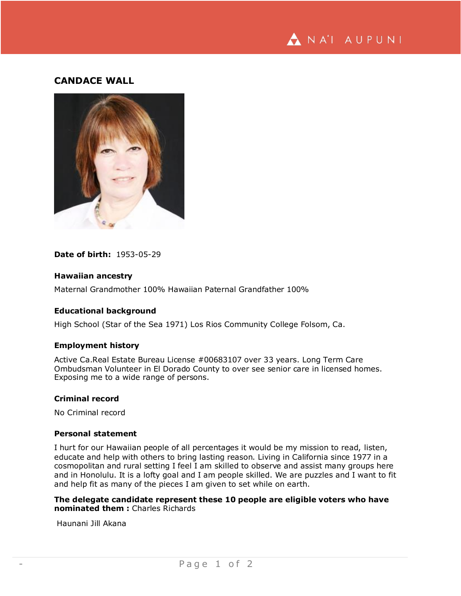

# **CANDACE WALL**



## **Date of birth:** 1953-05-29

### **Hawaiian ancestry**

Maternal Grandmother 100% Hawaiian Paternal Grandfather 100%

# **Educational background**

High School (Star of the Sea 1971) Los Rios Community College Folsom, Ca.

### **Employment history**

Active Ca.Real Estate Bureau License #00683107 over 33 years. Long Term Care Ombudsman Volunteer in El Dorado County to over see senior care in licensed homes. Exposing me to a wide range of persons.

### **Criminal record**

No Criminal record

## **Personal statement**

I hurt for our Hawaiian people of all percentages it would be my mission to read, listen, educate and help with others to bring lasting reason. Living in California since 1977 in a cosmopolitan and rural setting I feel I am skilled to observe and assist many groups here and in Honolulu. It is a lofty goal and I am people skilled. We are puzzles and I want to fit and help fit as many of the pieces I am given to set while on earth.

**The delegate candidate represent these 10 people are eligible voters who have nominated them :** Charles Richards

Haunani Jill Akana